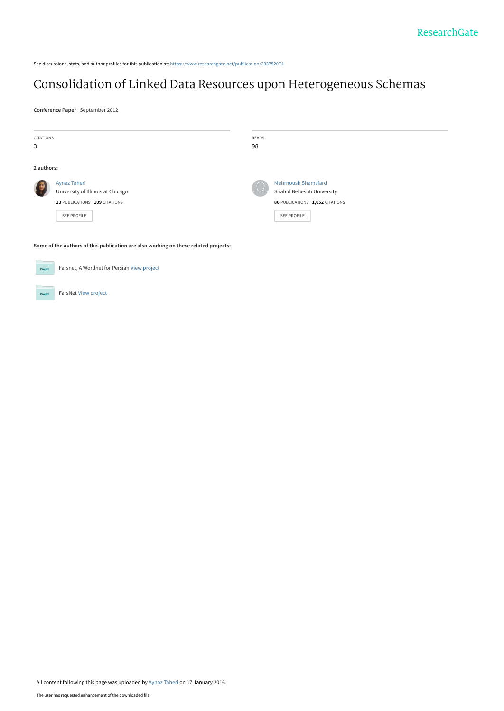See discussions, stats, and author profiles for this publication at: [https://www.researchgate.net/publication/233752074](https://www.researchgate.net/publication/233752074_Consolidation_of_Linked_Data_Resources_upon_Heterogeneous_Schemas?enrichId=rgreq-3a7a23812daaffdd3930829e0e4ba0c5-XXX&enrichSource=Y292ZXJQYWdlOzIzMzc1MjA3NDtBUzozMTkwMTAzODA0MTkwNzJAMTQ1MzA2OTQwOTY2Nw%3D%3D&el=1_x_2&_esc=publicationCoverPdf)

# [Consolidation of Linked Data Resources upon Heterogeneous Schemas](https://www.researchgate.net/publication/233752074_Consolidation_of_Linked_Data_Resources_upon_Heterogeneous_Schemas?enrichId=rgreq-3a7a23812daaffdd3930829e0e4ba0c5-XXX&enrichSource=Y292ZXJQYWdlOzIzMzc1MjA3NDtBUzozMTkwMTAzODA0MTkwNzJAMTQ1MzA2OTQwOTY2Nw%3D%3D&el=1_x_3&_esc=publicationCoverPdf)

**Conference Paper** · September 2012

| <b>CITATIONS</b>                                                                    |                                   | READS |                                 |
|-------------------------------------------------------------------------------------|-----------------------------------|-------|---------------------------------|
| 3                                                                                   |                                   | 98    |                                 |
|                                                                                     |                                   |       |                                 |
| 2 authors:                                                                          |                                   |       |                                 |
|                                                                                     | Aynaz Taheri                      |       | <b>Mehrnoush Shamsfard</b>      |
|                                                                                     | University of Illinois at Chicago |       | Shahid Beheshti University      |
|                                                                                     | 13 PUBLICATIONS 109 CITATIONS     |       | 86 PUBLICATIONS 1,052 CITATIONS |
|                                                                                     | <b>SEE PROFILE</b>                |       | SEE PROFILE                     |
|                                                                                     |                                   |       |                                 |
|                                                                                     |                                   |       |                                 |
| Some of the authors of this publication are also working on these related projects: |                                   |       |                                 |
|                                                                                     |                                   |       |                                 |
| Farsnet, A Wordnet for Persian View project<br>Project                              |                                   |       |                                 |
|                                                                                     |                                   |       |                                 |

FarsNet [View project](https://www.researchgate.net/project/FarsNet?enrichId=rgreq-3a7a23812daaffdd3930829e0e4ba0c5-XXX&enrichSource=Y292ZXJQYWdlOzIzMzc1MjA3NDtBUzozMTkwMTAzODA0MTkwNzJAMTQ1MzA2OTQwOTY2Nw%3D%3D&el=1_x_9&_esc=publicationCoverPdf) **Project**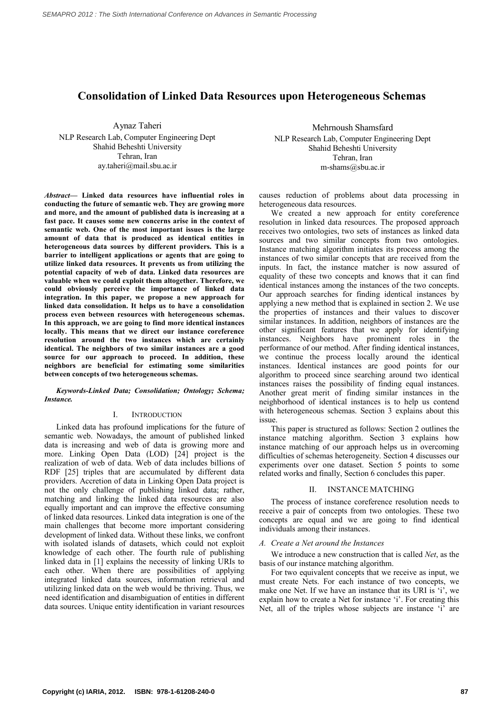# **Consolidation of Linked Data Resources upon Heterogeneous Schemas**

Aynaz Taheri NLP Research Lab, Computer Engineering Dept Shahid Beheshti University Tehran, Iran ay.taheri@mail.sbu.ac.ir

*Abstract***— Linked data resources have influential roles in conducting the future of semantic web. They are growing more and more, and the amount of published data is increasing at a fast pace. It causes some new concerns arise in the context of semantic web. One of the most important issues is the large amount of data that is produced as identical entities in heterogeneous data sources by different providers. This is a barrier to intelligent applications or agents that are going to utilize linked data resources. It prevents us from utilizing the potential capacity of web of data. Linked data resources are valuable when we could exploit them altogether. Therefore, we could obviously perceive the importance of linked data integration. In this paper, we propose a new approach for linked data consolidation. It helps us to have a consolidation process even between resources with heterogeneous schemas. In this approach, we are going to find more identical instances locally. This means that we direct our instance coreference resolution around the two instances which are certainly identical. The neighbors of two similar instances are a good source for our approach to proceed. In addition, these neighbors are beneficial for estimating some similarities between concepts of two heterogeneous schemas.** 

### *Keywords-Linked Data; Consolidation; Ontology; Schema; Instance.*

# I. INTRODUCTION

Linked data has profound implications for the future of semantic web. Nowadays, the amount of published linked data is increasing and web of data is growing more and more. Linking Open Data (LOD) [24] project is the realization of web of data. Web of data includes billions of RDF [25] triples that are accumulated by different data providers. Accretion of data in Linking Open Data project is not the only challenge of publishing linked data; rather, matching and linking the linked data resources are also equally important and can improve the effective consuming of linked data resources. Linked data integration is one of the main challenges that become more important considering development of linked data. Without these links, we confront with isolated islands of datasets, which could not exploit knowledge of each other. The fourth rule of publishing linked data in [1] explains the necessity of linking URIs to each other. When there are possibilities of applying integrated linked data sources, information retrieval and utilizing linked data on the web would be thriving. Thus, we need identification and disambiguation of entities in different data sources. Unique entity identification in variant resources

Mehrnoush Shamsfard NLP Research Lab, Computer Engineering Dept

Shahid Beheshti University Tehran, Iran m-shams@sbu.ac.ir

causes reduction of problems about data processing in heterogeneous data resources.

We created a new approach for entity coreference resolution in linked data resources. The proposed approach receives two ontologies, two sets of instances as linked data sources and two similar concepts from two ontologies. Instance matching algorithm initiates its process among the instances of two similar concepts that are received from the inputs. In fact, the instance matcher is now assured of equality of these two concepts and knows that it can find identical instances among the instances of the two concepts. Our approach searches for finding identical instances by applying a new method that is explained in section 2. We use the properties of instances and their values to discover similar instances. In addition, neighbors of instances are the other significant features that we apply for identifying instances. Neighbors have prominent roles in the performance of our method. After finding identical instances, we continue the process locally around the identical instances. Identical instances are good points for our algorithm to proceed since searching around two identical instances raises the possibility of finding equal instances. Another great merit of finding similar instances in the neighborhood of identical instances is to help us contend with heterogeneous schemas. Section 3 explains about this issue.

This paper is structured as follows: Section 2 outlines the instance matching algorithm. Section 3 explains how instance matching of our approach helps us in overcoming difficulties of schemas heterogeneity. Section 4 discusses our experiments over one dataset. Section 5 points to some related works and finally, Section 6 concludes this paper.

# II. INSTANCE MATCHING

The process of instance coreference resolution needs to receive a pair of concepts from two ontologies. These two concepts are equal and we are going to find identical individuals among their instances.

# *A. Create a Net around the Instances*

We introduce a new construction that is called *Net*, as the basis of our instance matching algorithm.

For two equivalent concepts that we receive as input, we must create Nets. For each instance of two concepts, we make one Net. If we have an instance that its URI is 'i', we explain how to create a Net for instance 'i'. For creating this Net, all of the triples whose subjects are instance 'i' are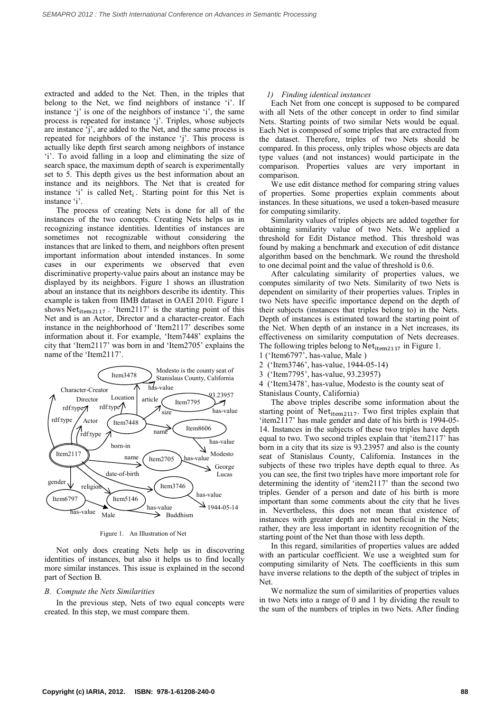extracted and added to the Net. Then, in the triples that belong to the Net, we find neighbors of instance 'i'. If instance 'j' is one of the neighbors of instance 'i', the same process is repeated for instance 'j'. Triples, whose subjects are instance 'j', are added to the Net, and the same process is repeated for neighbors of the instance 'j'. This process is actually like depth first search among neighbors of instance 'i'. To avoid falling in a loop and eliminating the size of search space, the maximum depth of search is experimentally set to 5. This depth gives us the best information about an instance and its neighbors. The Net that is created for instance 'i' is called  $Net_i$ . Starting point for this Net is instance 'i'.

The process of creating Nets is done for all of the instances of the two concepts. Creating Nets helps us in recognizing instance identities. Identities of instances are sometimes not recognizable without considering the instances that are linked to them, and neighbors often present important information about intended instances. In some cases in our experiments we observed that even discriminative property-value pairs about an instance may be displayed by its neighbors. Figure 1 shows an illustration about an instance that its neighbors describe its identity. This example is taken from IIMB dataset in OAEI 2010. Figure 1 shows  $Net_{item2117}$ . 'Item2117' is the starting point of this Net and is an Actor, Director and a character-creator. Each instance in the neighborhood of 'Item2117' describes some information about it. For example, 'Item7448' explains the city that 'Item2117' was born in and 'Item2705' explains the name of the 'Item2117'.



Figure 1. An Illustration of Net

Not only does creating Nets help us in discovering identities of instances, but also it helps us to find locally more similar instances. This issue is explained in the second part of Section B.

#### *B. Compute the Nets Similarities*

In the previous step, Nets of two equal concepts were created. In this step, we must compare them.

# *1) Finding identical instances*

Each Net from one concept is supposed to be compared with all Nets of the other concept in order to find similar Nets. Starting points of two similar Nets would be equal. Each Net is composed of some triples that are extracted from the dataset. Therefore, triples of two Nets should be compared. In this process, only triples whose objects are data type values (and not instances) would participate in the comparison. Properties values are very important in comparison.

We use edit distance method for comparing string values of properties. Some properties explain comments about instances. In these situations, we used a token-based measure for computing similarity.

Similarity values of triples objects are added together for obtaining similarity value of two Nets. We applied a threshold for Edit Distance method. This threshold was found by making a benchmark and execution of edit distance algorithm based on the benchmark. We round the threshold to one decimal point and the value of threshold is 0.6.

After calculating similarity of properties values, we computes similarity of two Nets. Similarity of two Nets is dependent on similarity of their properties values. Triples in two Nets have specific importance depend on the depth of their subjects (instances that triples belong to) in the Nets. Depth of instances is estimated toward the starting point of the Net. When depth of an instance in a Net increases, its effectiveness on similarity computation of Nets decreases. The following triples belong to  $Net_{item2117}$  in Figure 1.

1 ('Item6797', has-value, Male )

- 2 ('Item3746', has-value, 1944-05-14)
- 3 ('Item7795', has-value, 93.23957)

4 ('Item3478', has-value, Modesto is the county seat of Stanislaus County, California)

The above triples describe some information about the starting point of Net<sub>item2117</sub>. Two first triples explain that 'item2117' has male gender and date of his birth is 1994-05- 14. Instances in the subjects of these two triples have depth equal to two. Two second triples explain that 'item2117' has born in a city that its size is 93.23957 and also is the county seat of Stanislaus County, California. Instances in the subjects of these two triples have depth equal to three. As you can see, the first two triples have more important role for determining the identity of 'item2117' than the second two triples. Gender of a person and date of his birth is more important than some comments about the city that he lives in. Nevertheless, this does not mean that existence of instances with greater depth are not beneficial in the Nets; rather, they are less important in identity recognition of the starting point of the Net than those with less depth.

In this regard, similarities of properties values are added with an particular coefficient. We use a weighted sum for computing similarity of Nets. The coefficients in this sum have inverse relations to the depth of the subject of triples in Net.

We normalize the sum of similarities of properties values in two Nets into a range of 0 and 1 by dividing the result to the sum of the numbers of triples in two Nets. After finding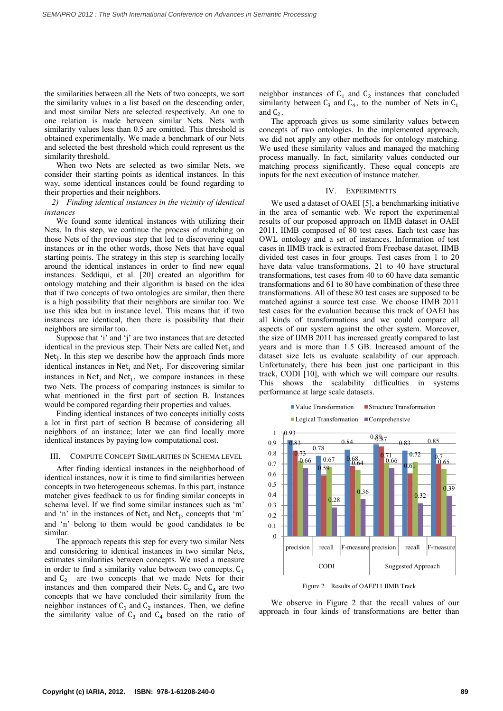the similarities between all the Nets of two concepts, we sort the similarity values in a list based on the descending order, and most similar Nets are selected respectively. An one to one relation is made between similar Nets. Nets with similarity values less than  $0.5$  are omitted. This threshold is obtained experimentally. We made a benchmark of our Nets and selected the best threshold which could represent us the similarity threshold.

When two Nets are selected as two similar Nets, we consider their starting points as identical instances. In this way, some identical instances could be found regarding to their properties and their neighbors.

*2) Finding identical instances in the vicinity of identical instances* 

We found some identical instances with utilizing their Nets. In this step, we continue the process of matching on those Nets of the previous step that led to discovering equal instances or in the other words, those Nets that have equal starting points. The strategy in this step is searching locally around the identical instances in order to find new equal instances. Seddiqui, et al. [20] created an algorithm for ontology matching and their algorithm is based on the idea that if two concepts of two ontologies are similar, then there is a high possibility that their neighbors are similar too. We use this idea but in instance level. This means that if two instances are identical, then there is possibility that their neighbors are similar too.

Suppose that 'i' and 'j' are two instances that are detected identical in the previous step. Their Nets are called Net<sub>i</sub> and Net<sub>j</sub>. In this step we describe how the approach finds more identical instances in Net<sub>i</sub> and Net<sub>j</sub>. For discovering similar instances in  $Net<sub>i</sub>$  and  $Net<sub>j</sub>$ , we compare instances in these two Nets. The process of comparing instances is similar to what mentioned in the first part of section B. Instances would be compared regarding their properties and values.

Finding identical instances of two concepts initially costs a lot in first part of section B because of considering all neighbors of an instance; later we can find locally more identical instances by paying low computational cost.

#### III. COMPUTE CONCEPT SIMILARITIES IN SCHEMA LEVEL

After finding identical instances in the neighborhood of identical instances, now it is time to find similarities between concepts in two heterogeneous schemas. In this part, instance matcher gives feedback to us for finding similar concepts in schema level. If we find some similar instances such as 'm' and 'n' in the instances of  $Net_i$  and  $Net_j$ , concepts that 'm' and 'n' belong to them would be good candidates to be similar.

The approach repeats this step for every two similar Nets and considering to identical instances in two similar Nets, estimates similarities between concepts. We used a measure in order to find a similarity value between two concepts.  $C_1$ and  $C_2$  are two concepts that we made Nets for their instances and then compared their Nets.  $C_3$  and  $C_4$  are two concepts that we have concluded their similarity from the neighbor instances of  $C_1$  and  $C_2$  instances. Then, we define the similarity value of  $C_3$  and  $C_4$  based on the ratio of

neighbor instances of  $C_1$  and  $C_2$  instances that concluded similarity between  $C_3$  and  $C_4$ , to the number of Nets in  $C_1$ and  $C_2$ .

The approach gives us some similarity values between concepts of two ontologies. In the implemented approach, we did not apply any other methods for ontology matching. We used these similarity values and managed the matching process manually. In fact, similarity values conducted our matching process significantly. These equal concepts are inputs for the next execution of instance matcher.

#### IV. EXPERIMENTTS

We used a dataset of OAEI [5], a benchmarking initiative in the area of semantic web. We report the experimental results of our proposed approach on IIMB dataset in OAEI 2011. IIMB composed of 80 test cases. Each test case has OWL ontology and a set of instances. Information of test cases in IIMB track is extracted from Freebase dataset. IIMB divided test cases in four groups. Test cases from 1 to 20 have data value transformations, 21 to 40 have structural transformations, test cases from 40 to 60 have data semantic transformations and 61 to 80 have combination of these three transformations. All of these 80 test cases are supposed to be matched against a source test case. We choose IIMB 2011 test cases for the evaluation because this track of OAEI has all kinds of transformations and we could compare all aspects of our system against the other system. Moreover, the size of IIMB 2011 has increased greatly compared to last years and is more than 1.5 GB. Increased amount of the dataset size lets us evaluate scalability of our approach. Unfortunately, there has been just one participant in this track, CODI [10], with which we will compare our results. This shows the scalability difficulties in systems performance at large scale datasets.



 $\blacksquare$  Value Transformation  $\blacksquare$  Structure Transformation

Figure 2. Results of OAEI'11 IIMB Track

We observe in Figure 2 that the recall values of our approach in four kinds of transformations are better than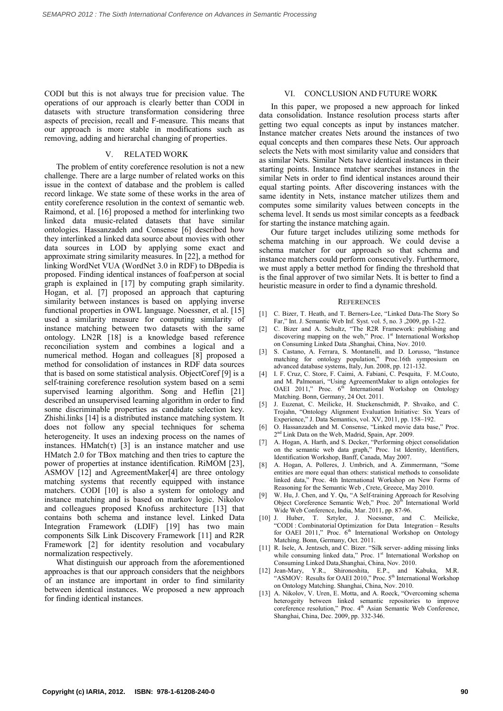CODI but this is not always true for precision value. The operations of our approach is clearly better than CODI in datasets with structure transformation considering three aspects of precision, recall and F-measure. This means that our approach is more stable in modifications such as removing, adding and hierarchal changing of properties.

# V. RELATED WORK

The problem of entity coreference resolution is not a new challenge. There are a large number of related works on this issue in the context of database and the problem is called record linkage. We state some of these works in the area of entity coreference resolution in the context of semantic web. Raimond, et al. [16] proposed a method for interlinking two linked data music-related datasets that have similar ontologies. Hassanzadeh and Consense [6] described how they interlinked a linked data source about movies with other data sources in LOD by applying some exact and approximate string similarity measures. In [22], a method for linking WordNet VUA (WordNet 3.0 in RDF) to DBpedia is proposed. Finding identical instances of foaf:person at social graph is explained in [17] by computing graph similarity. Hogan, et al. [7] proposed an approach that capturing similarity between instances is based on applying inverse functional properties in OWL language. Noessner, et al. [15] used a similarity measure for computing similarity of instance matching between two datasets with the same ontology. LN2R [18] is a knowledge based reference reconciliation system and combines a logical and a numerical method. Hogan and colleagues [8] proposed a method for consolidation of instances in RDF data sources that is based on some statistical analysis. ObjectCoref [9] is a self-training coreference resolution system based on a semi supervised learning algorithm. Song and Heflin [21] described an unsupervised learning algorithm in order to find some discriminable properties as candidate selection key. Zhishi.links [14] is a distributed instance matching system. It does not follow any special techniques for schema heterogeneity. It uses an indexing process on the names of instances. HMatch( $\tau$ ) [3] is an instance matcher and use HMatch 2.0 for TBox matching and then tries to capture the power of properties at instance identification. RiMOM [23], ASMOV [12] and AgreementMaker[4] are three ontology matching systems that recently equipped with instance matchers. CODI [10] is also a system for ontology and instance matching and is based on markov logic. Nikolov and colleagues proposed Knofuss architecture [13] that contains both schema and instance level. Linked Data Integration Framework (LDIF) [19] has two main components Silk Link Discovery Framework [11] and R2R Framework [2] for identity resolution and vocabulary normalization respectively.

What distinguish our approach from the aforementioned approaches is that our approach considers that the neighbors of an instance are important in order to find similarity between identical instances. We proposed a new approach for finding identical instances.

#### VI. CONCLUSION AND FUTURE WORK

In this paper, we proposed a new approach for linked data consolidation. Instance resolution process starts after getting two equal concepts as input by instances matcher. Instance matcher creates Nets around the instances of two equal concepts and then compares these Nets. Our approach selects the Nets with most similarity value and considers that as similar Nets. Similar Nets have identical instances in their starting points. Instance matcher searches instances in the similar Nets in order to find identical instances around their equal starting points. After discovering instances with the same identity in Nets, instance matcher utilizes them and computes some similarity values between concepts in the schema level. It sends us most similar concepts as a feedback for starting the instance matching again.

Our future target includes utilizing some methods for schema matching in our approach. We could devise a schema matcher for our approach so that schema and instance matchers could perform consecutively. Furthermore, we must apply a better method for finding the threshold that is the final approver of two similar Nets. It is better to find a heuristic measure in order to find a dynamic threshold.

#### **REFERENCES**

- [1] C. Bizer, T. Heath, and T. Berners-Lee, "Linked Data-The Story So Far," Int. J. Semantic Web Inf. Syst. vol. 5, no. 3 ,2009, pp. 1-22.
- [2] C. Bizer and A. Schultz, "The R2R Framework: publishing and discovering mapping on the web," Proc. 1<sup>st</sup> International Workshop on Consuming Linked Data ,Shanghai, China, Nov. 2010.
- [3] S. Castano, A. Ferrara, S. Montanelli, and D. Lorusso, "Instance matching for ontology population," Proc.16th symposium on advanced database systems, Italy, Jun. 2008, pp. 121-132.
- [4] I. F. Cruz, C. Store, F. Caimi, A. Fabiani, C. Pesquita, F. M.Couto, and M. Palmonari, "Using AgreementMaker to align ontologies for OAEI 2011." Proc. 6<sup>th</sup> International Workshop on Ontology International Workshop on Ontology Matching. Bonn, Germany, 24 Oct. 2011.
- [5] J. Euzenat, C. Meilicke, H. Stuckenschmidt, P. Shvaiko, and C. Trojahn, "Ontology Alignment Evaluation Initiative: Six Years of Experience," J. Data Semantics, vol. XV, 2011, pp. 158–192.
- [6] O. Hassanzadeh and M. Consense, "Linked movie data base," Proc. 2nd Link Data on the Web, Madrid, Spain, Apr. 2009.
- [7] A. Hogan, A. Harth, and S. Decker, "Performing object consolidation on the semantic web data graph," Proc. 1st Identity, Identifiers, Identification Workshop, Banff, Canada, May 2007.
- [8] A. Hogan, A. Polleres, J. Umbrich, and A. Zimmermann, "Some entities are more equal than others: statistical methods to consolidate linked data," Proc. 4th International Workshop on New Forms of Reasoning for the Semantic Web , Crete, Greece, May 2010.
- [9] W. Hu, J. Chen, and Y. Qu, "A Self-training Approach for Resolving Object Coreference Semantic Web," Proc. 20<sup>th</sup> International World Wide Web Conference, India, Mar. 2011, pp. 87-96.
- [10] J. Huber, T. Sztyler, J. Noessner, and C. Meilicke, "CODI : Combinatorial Optimization for Data Integration *–* Results for OAEI 2011," Proc.  $6<sup>th</sup>$  International Workshop on Ontology Matching. Bonn, Germany, Oct. 2011.
- [11] R. Isele, A. Jentzsch, and C. Bizer. "Silk server- adding missing links while consuming linked data," Proc. 1st International Workshop on Consuming Linked Data,Shanghai, China, Nov. 2010.
- [12] Jean-Mary, Y.R., Shironoshita, E.P., and Kabuka, M.R. "ASMOV: Results for OAEI 2010," Proc. 5<sup>th</sup> International Workshop on Ontology Matching. Shanghai, China, Nov. 2010.
- [13] A. Nikolov, V. Uren, E. Motta, and A. Roeck, "Overcoming schema heterogeity between linked semantic repositories to improve coreference resolution," Proc. 4<sup>th</sup> Asian Semantic Web Conference, Shanghai, China, Dec. 2009, pp. 332-346.